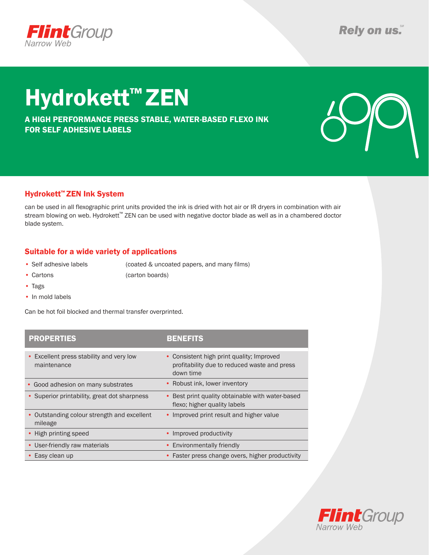

# Hydrokett™ ZEN

A HIGH PERFORMANCE PRESS STABLE, WATER-BASED FLEXO INK FOR SELF ADHESIVE LABELS



### Hydrokett™ ZEN Ink System

can be used in all flexographic print units provided the ink is dried with hot air or IR dryers in combination with air stream blowing on web. Hydrokett™ ZEN can be used with negative doctor blade as well as in a chambered doctor blade system.

### Suitable for a wide variety of applications

• Self adhesive labels (coated & uncoated papers, and many films)

- Cartons (carton boards)
- Tags
- In mold labels

Can be hot foil blocked and thermal transfer overprinted.

| <b>PROPERTIES</b>                                       | <b>BENEFITS</b>                                                                                        |
|---------------------------------------------------------|--------------------------------------------------------------------------------------------------------|
| • Excellent press stability and very low<br>maintenance | • Consistent high print quality; Improved<br>profitability due to reduced waste and press<br>down time |
| • Good adhesion on many substrates                      | • Robust ink, lower inventory                                                                          |
| • Superior printability, great dot sharpness            | Best print quality obtainable with water-based<br>flexo; higher quality labels                         |
| • Outstanding colour strength and excellent<br>mileage  | • Improved print result and higher value                                                               |
| • High printing speed                                   | • Improved productivity                                                                                |
| • User-friendly raw materials                           | • Environmentally friendly                                                                             |
| Easy clean up                                           | • Faster press change overs, higher productivity                                                       |